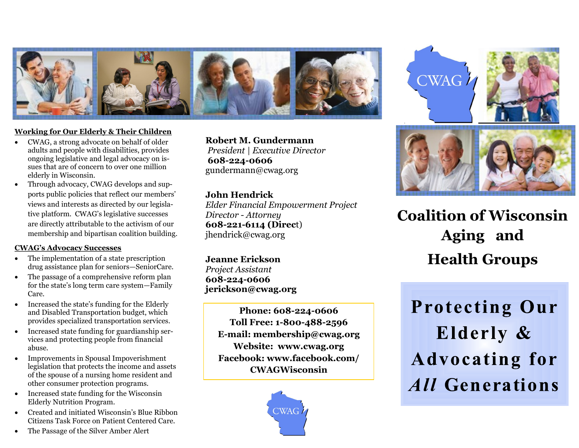

## **Working for Our Elderly & Their Children**

- CWAG, a strong advocate on behalf of older adults and people with disabilities, provides ongoing legislative and legal advocacy on issues that are of concern to over one million elderly in Wisconsin.
- Through advocacy, CWAG develops and supports public policies that reflect our members' views and interests as directed by our legislative platform. CWAG's legislative successes are directly attributable to the activism of our membership and bipartisan coalition building.

#### **CWAG's Advocacy Successes**

- The implementation of a state prescription drug assistance plan for seniors—SeniorCare.
- The passage of a comprehensive reform plan for the state's long term care system—Family Care.
- Increased the state's funding for the Elderly and Disabled Transportation budget, which provides specialized transportation services.
- Increased state funding for guardianship services and protecting people from financial abuse.
- Improvements in Spousal Impoverishment legislation that protects the income and assets of the spouse of a nursing home resident and other consumer protection programs.
- Increased state funding for the Wisconsin Elderly Nutrition Program.
- Created and initiated Wisconsin's Blue Ribbon Citizens Task Force on Patient Centered Care.
- The Passage of the Silver Amber Alert

**Robert M. Gundermann** *President | Executive Director* **608-224-0606** gundermann@cwag.org

## **John Hendrick**

*Elder Financial Empowerment Project Director - Attorney* **608-221-6114 (Direc**t) jhendrick@cwag.org

**Jeanne Erickson** *Project Assistant*  **608-224-0606 jerickson@cwag.org**

> **Phone: 608-224-0606 Toll Free: 1-800-488-2596 E-mail: membership@cwag.org Website: www.cwag.org Facebook: www.facebook.com/ CWAGWisconsin**









**Coalition of Wisconsin Aging and Health Groups** 

**Protecting Our Elderly & Advocating for** *All Generations*